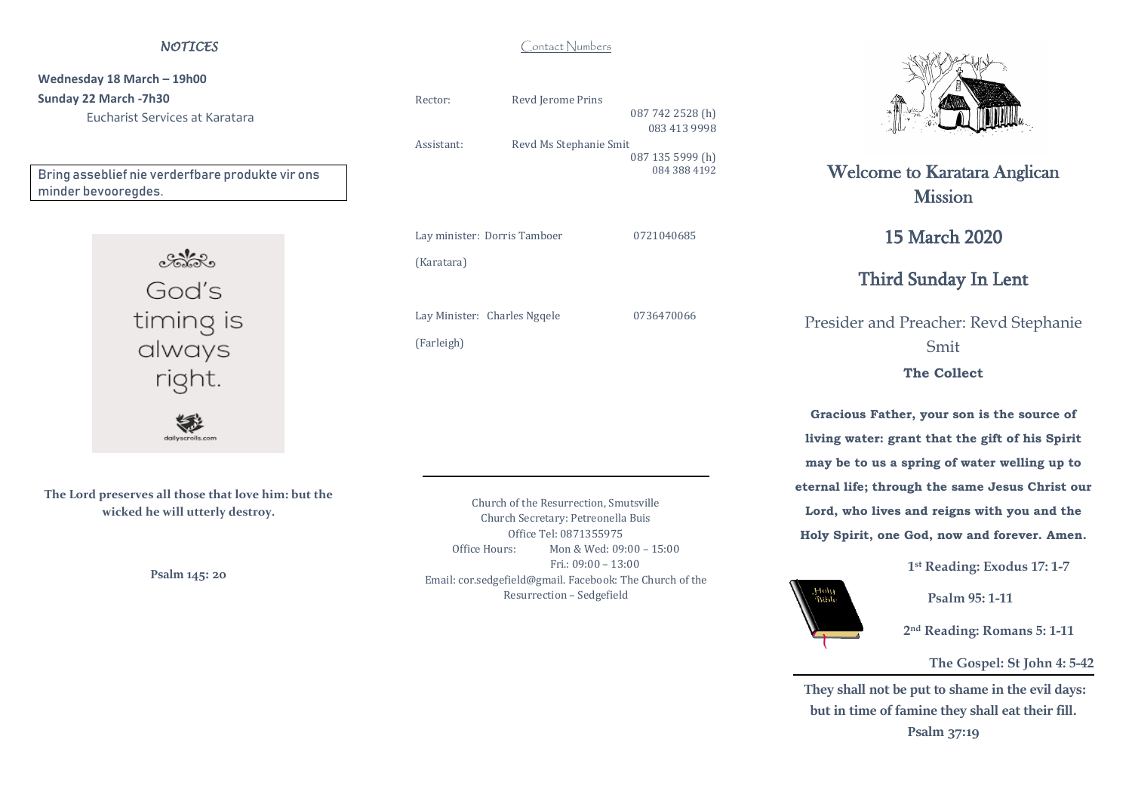#### *NOTICES*

**Wednesday 18 March – 19h00 Sunday 22 March -7h30** Eucharist Services at Karatara

Bring asseblief nie verderfbare produkte vir ons minder bevooregdes.



**The Lord preserves all those that love him: but the wicked he will utterly destroy.**

**Psalm 145: 20**

Rector: Revd Jerome Prins 087 742 2528 (h) 083 413 9998 Assistant: Revd Ms Stephanie Smit 087 135 5999 (h) 084 388 4192

Lay minister: Dorris Tamboer 0721040685 (Karatara) Lay Minister: Charles Ngqele 0736470066

(Farleigh)

Church of the Resurrection, Smutsville Church Secretary: Petreonella Buis Office Tel: 0871355975 Office Hours: Mon & Wed: 09:00 – 15:00 Fri.: 09:00 – 13:00 Email: cor.sedgefield@gmail. Facebook: The Church of the Resurrection – Sedgefield



# Welcome to Karatara Anglican **Mission**

15 March 2020

## Third Sunday In Lent

Presider and Preacher: Revd Stephanie Smit **The Collect**

**Gracious Father, your son is the source of living water: grant that the gift of his Spirit may be to us a spring of water welling up to eternal life; through the same Jesus Christ our Lord, who lives and reigns with you and the**

**Holy Spirit, one God, now and forever. Amen.** 

uloH,<br>Moly

**1 st Reading: Exodus 17: 1-7**

 **Psalm 95: 1-11**

 **2 nd Reading: Romans 5: 1-11**

#### **The Gospel: St John 4: 5-42**

**They shall not be put to shame in the evil days: but in time of famine they shall eat their fill.**

**Psalm 37:19**

#### Contact Numbers